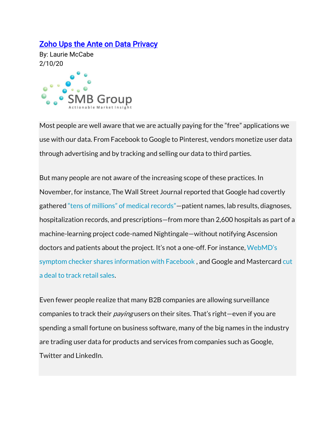## [Zoho Ups the Ante on Data Privacy](https://lauriemccabe.com/2020/02/10/zoho-ups-the-ante-on-data-privacy/)

By: Laurie McCabe 2/10/20



Most people are well aware that we are actually paying for the "free" applications we use with our data. From Facebook to Google to Pinterest, vendors monetize user data through advertising and by tracking and selling our data to third parties.

But many people are not aware of the increasing scope of these practices. In November, for instance, The Wall Street Journal reported that Google had covertly gathered ["tens of millions" of medical records"—](https://www.wsj.com/articles/google-s-secret-project-nightingale-gathers-personal-health-data-on-millions-of-americans-11573496790)patient names, lab results, diagnoses, hospitalization records, and prescriptions—from more than 2,600 hospitals as part of a machine-learning project code-named Nightingale—without notifying Ascension doctors and patients about the project. It's not a one-off. For instance, [WebMD's](https://www.ft.com/content/0fbf4d8e-022b-11ea-be59-e49b2a136b8d)  [symptom checker shares information with Facebook ,](https://www.ft.com/content/0fbf4d8e-022b-11ea-be59-e49b2a136b8d) and Google and Mastercard [cut](https://www.bloomberg.com/news/articles/2018-08-30/google-and-mastercard-cut-a-secret-ad-deal-to-track-retail-sales)  [a deal to track retail sales.](https://www.bloomberg.com/news/articles/2018-08-30/google-and-mastercard-cut-a-secret-ad-deal-to-track-retail-sales)

Even fewer people realize that many B2B companies are allowing surveillance companies to track their *paying* users on their sites. That's right—even if you are spending a small fortune on business software, many of the big names in the industry are trading user data for products and services from companies such as Google, Twitter and LinkedIn.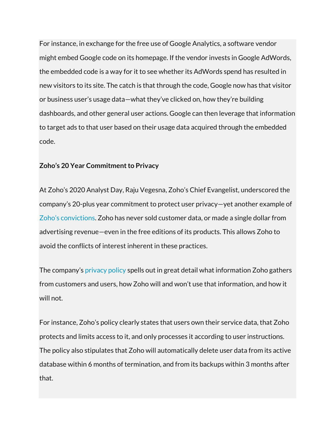For instance, in exchange for the free use of Google Analytics, a software vendor might embed Google code on its homepage. If the vendor invests in Google AdWords, the embedded code is a way for it to see whether its AdWords spend has resulted in new visitors to its site. The catch is that through the code, Google now has that visitor or business user's usage data—what they've clicked on, how they're building dashboards, and other general user actions. Google can then leverage that information to target ads to that user based on their usage data acquired through the embedded code.

## **Zoho's 20 Year Commitment to Privacy**

At Zoho's 2020 Analyst Day, Raju Vegesna, Zoho's Chief Evangelist, underscored the company's 20-plus year commitment to protect user privacy—yet another example of [Zoho's convictions](https://lauriemccabe.com/2019/11/25/convention-vs-zoho-conviction-challenging-the-norms-of-the-software-industry/). Zoho has never sold customer data, or made a single dollar from advertising revenue—even in the free editions of its products. This allows Zoho to avoid the conflicts of interest inherent in these practices.

The company's [privacy policy](https://www.zoho.com/privacy.html) spells out in great detail what information Zoho gathers from customers and users, how Zoho will and won't use that information, and how it will not.

For instance, Zoho's policy clearly states that users own their service data, that Zoho protects and limits access to it, and only processes it according to user instructions. The policy also stipulates that Zoho will automatically delete user data from its active database within 6 months of termination, and from its backups within 3 months after that.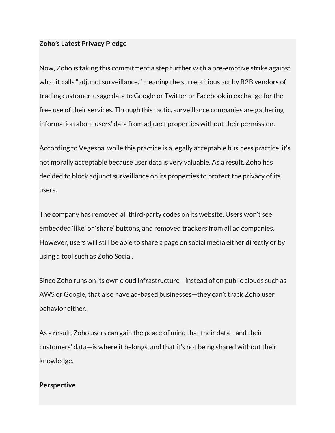## **Zoho's Latest Privacy Pledge**

Now, Zoho is taking this commitment a step further with a pre-emptive strike against what it calls "adjunct surveillance," meaning the surreptitious act by B2B vendors of trading customer-usage data to Google or Twitter or Facebook in exchange for the free use of their services. Through this tactic, surveillance companies are gathering information about users' data from adjunct properties without their permission.

According to Vegesna, while this practice is a legally acceptable business practice, it's not morally acceptable because user data is very valuable. As a result, Zoho has decided to block adjunct surveillance on its properties to protect the privacy of its users.

The company has removed all third-party codes on its website. Users won't see embedded 'like' or 'share' buttons, and removed trackers from all ad companies. However, users will still be able to share a page on social media either directly or by using a tool such as Zoho Social.

Since Zoho runs on its own cloud infrastructure—instead of on public clouds such as AWS or Google, that also have ad-based businesses—they can't track Zoho user behavior either.

As a result, Zoho users can gain the peace of mind that their data—and their customers' data—is where it belongs, and that it's not being shared without their knowledge.

## **Perspective**